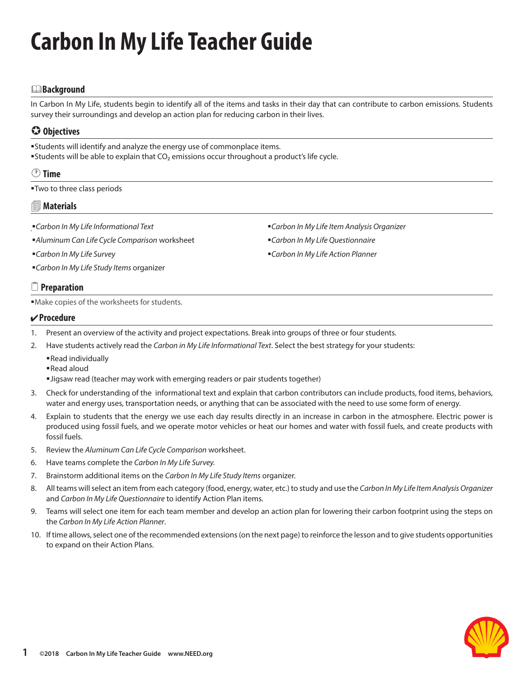# **Carbon In My Life Teacher Guide**

#### &**Background**

In Carbon In My Life, students begin to identify all of the items and tasks in their day that can contribute to carbon emissions. Students survey their surroundings and develop an action plan for reducing carbon in their lives.

# **Objectives**

Students will identify and analyze the energy use of commonplace items. **Students will be able to explain that CO<sub>2</sub> emissions occur throughout a product's life cycle.** 

#### **Time**

Two to three class periods

#### **Materials**

- *Carbon In My Life Informational Text*
- *Aluminum Can Life Cycle Comparison* worksheet
- *Carbon In My Life Survey*
- *Carbon In My Life Study Items* organizer

*Carbon In My Life Item Analysis Organizer Carbon In My Life Questionnaire*

*Carbon In My Life Action Planner*

### 2 **Preparation**

Make copies of the worksheets for students.

#### **Procedure**

- 1. Present an overview of the activity and project expectations. Break into groups of three or four students.
- 2. Have students actively read the *Carbon in My Life Informational Text*. Select the best strategy for your students:
	- Read individually
	- Read aloud
	- Jigsaw read (teacher may work with emerging readers or pair students together)
- 3. Check for understanding of the informational text and explain that carbon contributors can include products, food items, behaviors, water and energy uses, transportation needs, or anything that can be associated with the need to use some form of energy.
- 4. Explain to students that the energy we use each day results directly in an increase in carbon in the atmosphere. Electric power is produced using fossil fuels, and we operate motor vehicles or heat our homes and water with fossil fuels, and create products with fossil fuels.
- 5. Review the *Aluminum Can Life Cycle Comparison* worksheet.
- 6. Have teams complete the *Carbon In My Life Survey.*
- 7. Brainstorm additional items on the *Carbon In My Life Study Items* organizer.
- 8. All teams will select an item from each category (food, energy, water, etc.) to study and use the *Carbon In My Life Item Analysis Organizer* and *Carbon In My Life Questionnaire* to identify Action Plan items.
- 9. Teams will select one item for each team member and develop an action plan for lowering their carbon footprint using the steps on the *Carbon In My Life Action Planner*.
- 10. If time allows, select one of the recommended extensions (on the next page) to reinforce the lesson and to give students opportunities to expand on their Action Plans.